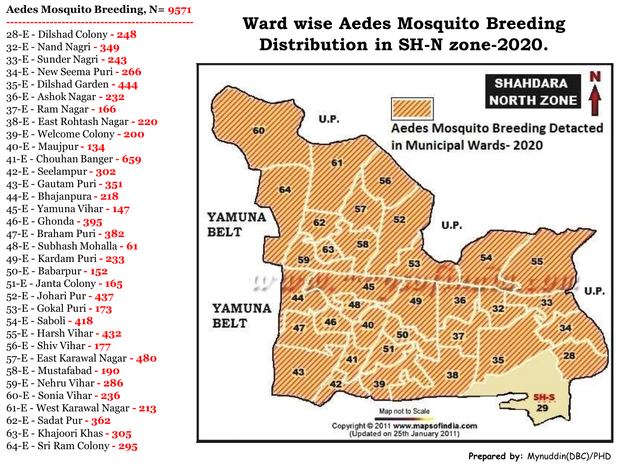### **Aedes Mosquito Breeding, N= 9571**

**------------------------------------------------** 28-E - Dilshad Colony **- 248** 32-E - Nand Nagri **- 349** 33-E - Sunder Nagri **- 243** 34-E - New Seema Puri **- 266** 35-E - Dilshad Garden **- 444** 36-E - Ashok Nagar **- 232** 37-E - Ram Nagar **- 166** 38-E - East Rohtash Nagar **- 220** 39-E - Welcome Colony **- 200** 40-E - Maujpur **- 134** 41-E - Chouhan Banger **- 659** 42-E - Seelampur **- 302** 43-E - Gautam Puri **- 351** 44-E - Bhajanpura **- 218** 45-E - Yamuna Vihar **- 147** 46-E - Ghonda **- 395** 47-E - Braham Puri **- 382** 48-E - Subhash Mohalla **- 61** 49-E - Kardam Puri **- 233** 50-E - Babarpur **- 152** 51-E - Janta Colony **- 165** 52-E - Johari Pur **- 437** 53-E - Gokal Puri **- 173** 54-E - Saboli **- 418** 55-E - Harsh Vihar **- 432** 56-E - Shiv Vihar **- 177** 57-E - East Karawal Nagar **- 480** 58-E - Mustafabad **- 190** 59-E - Nehru Vihar **- 286** 60-E - Sonia Vihar **- 236** 61-E - West Karawal Nagar **- 213** 62-E - Sadat Pur **- 362** 63-E - Khajoori Khas **- 305** 64-E - Sri Ram Colony **- 295**

# **Ward wise Aedes Mosquito Breeding Distribution in SH-N zone-2020.**



**Prepared by:** Mynuddin(DBC)/PHD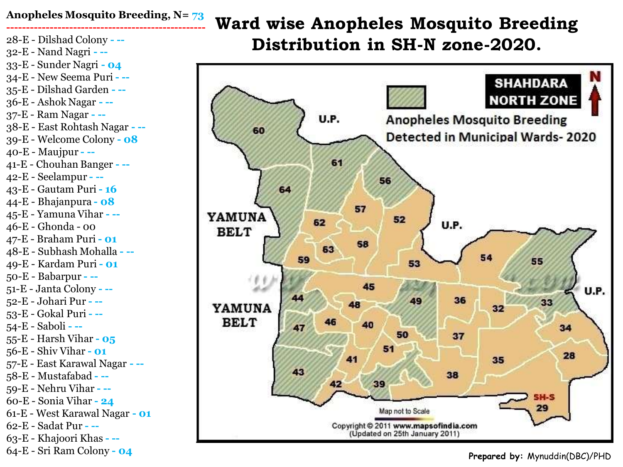## **Anopheles Mosquito Breeding, N= 73**

**---------------------------------------------------** 28-E - Dilshad Colony **- --** 32-E - Nand Nagri **- --** 33-E - Sunder Nagri **- 04** 34-E - New Seema Puri **- --** 35-E - Dilshad Garden **- --** 36-E - Ashok Nagar **- --** 37-E - Ram Nagar **- --** 38-E - East Rohtash Nagar **- --** 39-E - Welcome Colony **- 08** 40-E - Maujpur **- --** 41-E - Chouhan Banger **- --** 42-E - Seelampur **- --** 43-E - Gautam Puri **- 16** 44-E - Bhajanpura **- 08** 45-E - Yamuna Vihar **- --** 46-E - Ghonda - 00 47-E - Braham Puri **- 01** 48-E - Subhash Mohalla **- --** 49-E - Kardam Puri **- 01** 50-E - Babarpur **- --** 51-E - Janta Colony **- --** 52-E - Johari Pur **- --** 53-E - Gokal Puri **- --** 54-E - Saboli **- --** 55-E - Harsh Vihar **- 05** 56-E - Shiv Vihar **- 01** 57-E - East Karawal Nagar **- --** 58-E - Mustafabad **- --** 59-E - Nehru Vihar **- --** 60-E - Sonia Vihar **- 24** 61-E - West Karawal Nagar **- 01** 62-E - Sadat Pur **- --** 63-E - Khajoori Khas **- --** 64-E - Sri Ram Colony **- 04**

**Ward wise Anopheles Mosquito Breeding Distribution in SH-N zone-2020.**



**Prepared by:** Mynuddin(DBC)/PHD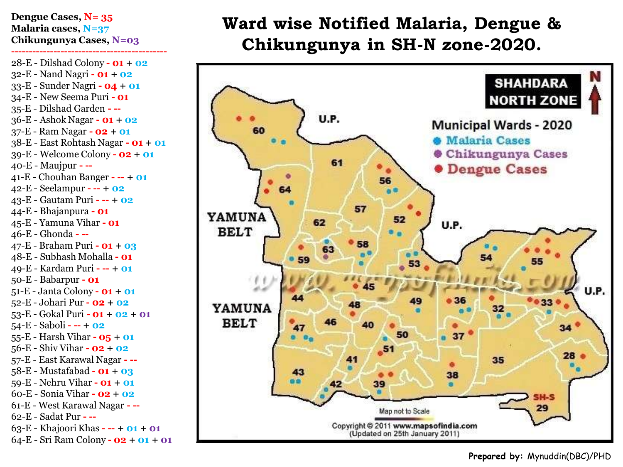#### **Dengue Cases, N= 35 Malaria cases, N=37 Chikungunya Cases, N=03**

**--------------------------------------------**

28-E - Dilshad Colony **- 01 + 02** 32-E - Nand Nagri **- 01 + 02** 33-E - Sunder Nagri **- 04 + 01** 34-E - New Seema Puri **- 01** 35-E - Dilshad Garden **- --** 36-E - Ashok Nagar **- 01 + 02** 37-E - Ram Nagar **- 02 + 01** 38-E - East Rohtash Nagar **- 01 + 01** 39-E - Welcome Colony **- 02 + 01** 40-E - Maujpur **- --** 41-E - Chouhan Banger **- -- + 01** 42-E - Seelampur **- -- + 02** 43-E - Gautam Puri **- -- + 02** 44-E - Bhajanpura **- 01** 45-E - Yamuna Vihar **- 01** 46-E - Ghonda **- --** 47-E - Braham Puri **- 01 + 03** 48-E - Subhash Mohalla **- 01** 49-E - Kardam Puri **- -- + 01** 50-E - Babarpur **- 01** 51-E - Janta Colony **- 01 + 01** 52-E - Johari Pur **- 02 + 02** 53-E - Gokal Puri **- 01 + 02 + 01** 54-E - Saboli **- -- + 02** 55-E - Harsh Vihar **- 05 + 01** 56-E - Shiv Vihar **- 02 + 02** 57-E - East Karawal Nagar **- --** 58-E - Mustafabad **- 01 + 03** 59-E - Nehru Vihar **- 01 + 01** 60-E - Sonia Vihar **- 02 + 02** 61-E - West Karawal Nagar **- --** 62-E - Sadat Pur **- --** 63-E - Khajoori Khas **- -- + 01 + 01** 64-E - Sri Ram Colony **- 02 + 01 + 01**

## **Ward wise Notified Malaria, Dengue & Chikungunya in SH-N zone-2020.**



**Prepared by:** Mynuddin(DBC)/PHD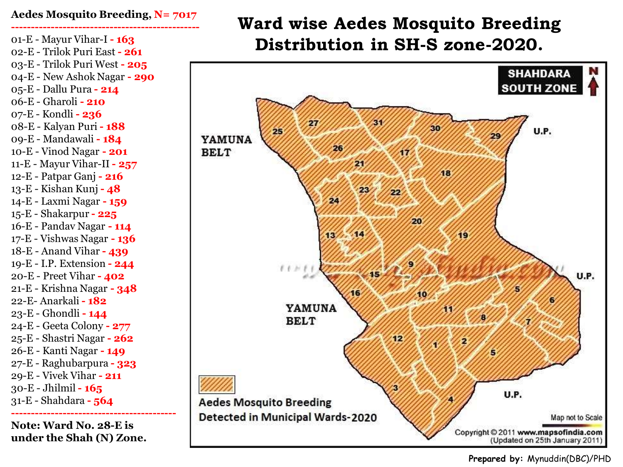#### **Aedes Mosquito Breeding, N= 7017 ------------------------------------------------**

01-E - Mayur Vihar-I **- 163** 02-E - Trilok Puri East **- 261** 03-E - Trilok Puri West **- 205** 04-E - New Ashok Nagar **- 290** 05-E - Dallu Pura **- 214** 06-E - Gharoli **- 210** 07-E - Kondli **- 236** 08-E - Kalyan Puri **- 188** 09-E - Mandawali **- 184** 10-E - Vinod Nagar **- 201** 11-E - Mayur Vihar-II **- 257** 12-E - Patpar Ganj **- 216** 13-E - Kishan Kunj **- 48** 14-E - Laxmi Nagar **- 159** 15-E - Shakarpur **- 225** 16-E - Pandav Nagar **- 114** 17-E - Vishwas Nagar **- 136** 18-E - Anand Vihar **- 439** 19-E - I.P. Extension **- 244** 20-E - Preet Vihar **- 402** 21-E - Krishna Nagar **- 348** 22-E- Anarkali **- 182** 23-E - Ghondli **- 144** 24-E - Geeta Colony **- 277** 25-E - Shastri Nagar **- 262** 26-E - Kanti Nagar **- 149** 27-E - Raghubarpura **- 323** 29-E - Vivek Vihar **- 211** 30-E - Jhilmil **- 165** 31-E - Shahdara **- 564 ------------------------------------------**

**Note: Ward No. 28-E is under the Shah (N) Zone.**

# **Ward wise Aedes Mosquito Breeding Distribution in SH-S zone-2020.**



#### **Prepared by:** Mynuddin(DBC)/PHD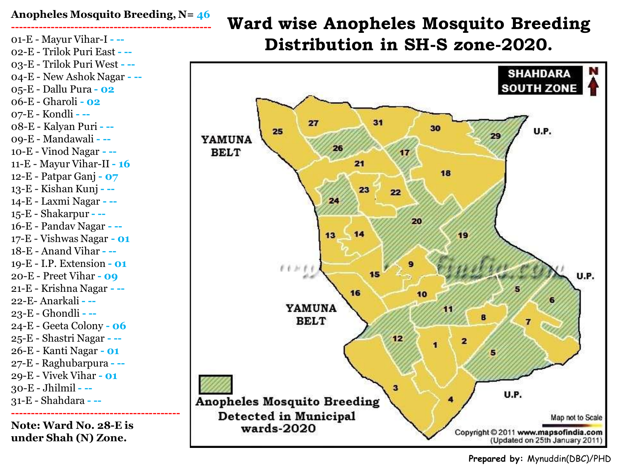### **Anopheles Mosquito Breeding, N= 46**

**---------------------------------------------------** 01-E - Mayur Vihar-I **- --** 02-E - Trilok Puri East **- --** 03-E - Trilok Puri West **- --** 04-E - New Ashok Nagar **- --** 05-E - Dallu Pura **- 02** 06-E - Gharoli **- 02** 07-E - Kondli **- --** 08-E - Kalyan Puri **- --** 09-E - Mandawali **- --** 10-E - Vinod Nagar **- --** 11-E - Mayur Vihar-II **- 16** 12-E - Patpar Ganj **- 07** 13-E - Kishan Kunj **- --** 14-E - Laxmi Nagar **- --** 15-E - Shakarpur **- --** 16-E - Pandav Nagar **- --** 17-E - Vishwas Nagar **- 01** 18-E - Anand Vihar **- --** 19-E - I.P. Extension **- 01** 20-E - Preet Vihar **- 09** 21-E - Krishna Nagar **- --** 22-E- Anarkali **- --** 23-E - Ghondli **- --** 24-E - Geeta Colony **- 06** 25-E - Shastri Nagar **- --** 26-E - Kanti Nagar **- 01** 27-E - Raghubarpura **- --** 29-E - Vivek Vihar **- 01** 30-E - Jhilmil **- --** 31-E - Shahdara **- -- -------------------------------------------**

**Note: Ward No. 28-E is under Shah (N) Zone.**

# **Ward wise Anopheles Mosquito Breeding Distribution in SH-S zone-2020.**



**Prepared by:** Mynuddin(DBC)/PHD